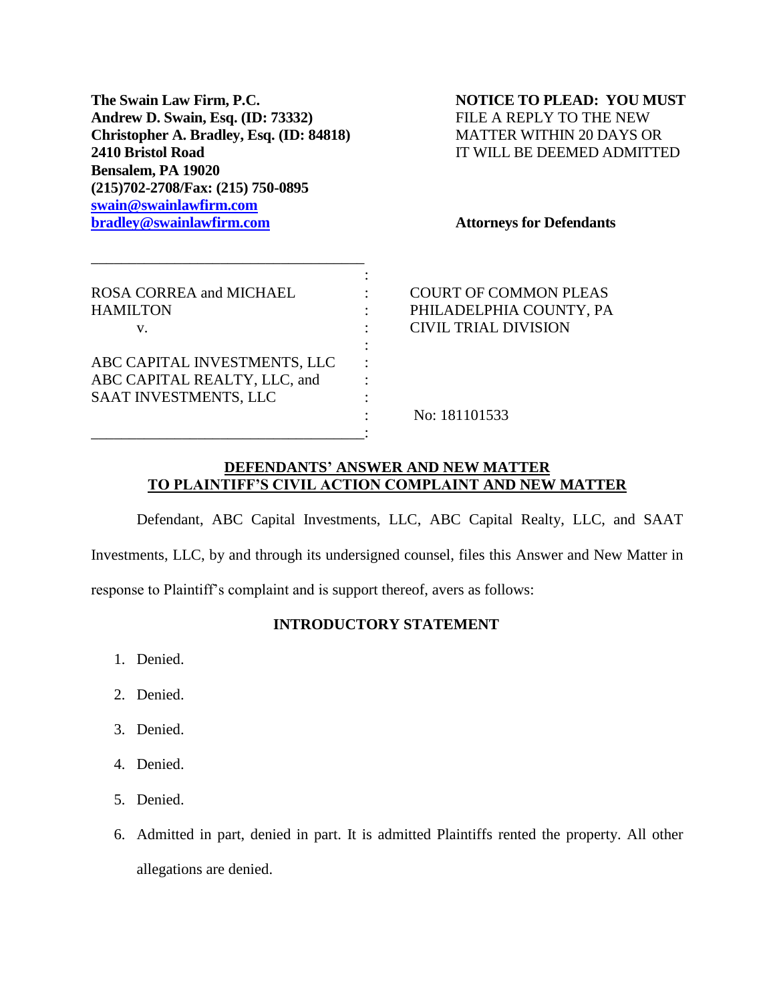**The Swain Law Firm, P.C. NOTICE TO PLEAD: YOU MUST Andrew D. Swain, Esq. (ID: 73332)** FILE A REPLY TO THE NEW **Christopher A. Bradley, Esq. (ID: 84818) MATTER WITHIN 20 DAYS OR 2410 Bristol Road** IT WILL BE DEEMED ADMITTED **Bensalem, PA 19020 (215)702-2708/Fax: (215) 750-0895 [swain@swainlawfirm.com](mailto:swain@swainlawfirm.com) [bradley@swainlawfirm.com](mailto:bradley@swainlawfirm.com) Attorneys for Defendants**

\_\_\_\_\_\_\_\_\_\_\_\_\_\_\_\_\_\_\_\_\_\_\_\_\_\_\_\_\_\_\_\_\_\_\_\_

| ROSA CORREA and MICHAEL<br><b>HAMILTON</b><br>v.                                      | <b>COURT OF COMMON PLEAS</b><br>PHILADELPHIA COUNTY, PA<br><b>CIVIL TRIAL DIVISION</b> |
|---------------------------------------------------------------------------------------|----------------------------------------------------------------------------------------|
| ABC CAPITAL INVESTMENTS, LLC<br>ABC CAPITAL REALTY, LLC, and<br>SAAT INVESTMENTS, LLC | No: 181101533                                                                          |

# **DEFENDANTS' ANSWER AND NEW MATTER TO PLAINTIFF'S CIVIL ACTION COMPLAINT AND NEW MATTER**

Defendant, ABC Capital Investments, LLC, ABC Capital Realty, LLC, and SAAT

Investments, LLC, by and through its undersigned counsel, files this Answer and New Matter in

response to Plaintiff's complaint and is support thereof, avers as follows:

## **INTRODUCTORY STATEMENT**

- 1. Denied.
- 2. Denied.
- 3. Denied.
- 4. Denied.
- 5. Denied.
- 6. Admitted in part, denied in part. It is admitted Plaintiffs rented the property. All other allegations are denied.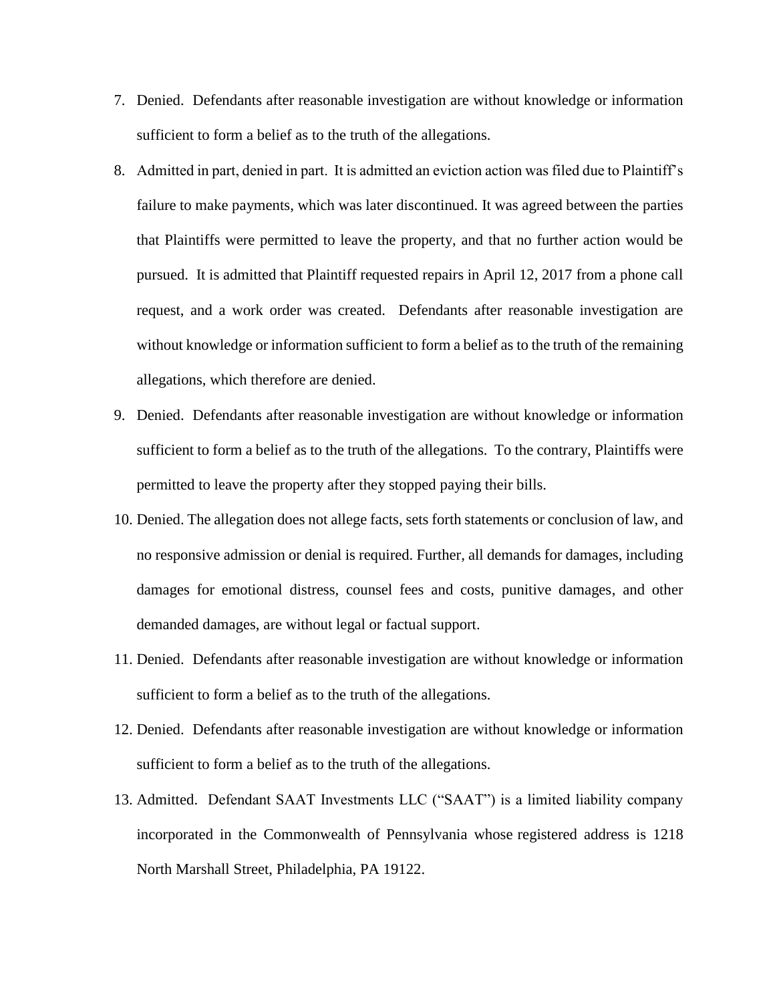- 7. Denied. Defendants after reasonable investigation are without knowledge or information sufficient to form a belief as to the truth of the allegations.
- 8. Admitted in part, denied in part. It is admitted an eviction action was filed due to Plaintiff's failure to make payments, which was later discontinued. It was agreed between the parties that Plaintiffs were permitted to leave the property, and that no further action would be pursued. It is admitted that Plaintiff requested repairs in April 12, 2017 from a phone call request, and a work order was created. Defendants after reasonable investigation are without knowledge or information sufficient to form a belief as to the truth of the remaining allegations, which therefore are denied.
- 9. Denied. Defendants after reasonable investigation are without knowledge or information sufficient to form a belief as to the truth of the allegations. To the contrary, Plaintiffs were permitted to leave the property after they stopped paying their bills.
- 10. Denied. The allegation does not allege facts, sets forth statements or conclusion of law, and no responsive admission or denial is required. Further, all demands for damages, including damages for emotional distress, counsel fees and costs, punitive damages, and other demanded damages, are without legal or factual support.
- 11. Denied. Defendants after reasonable investigation are without knowledge or information sufficient to form a belief as to the truth of the allegations.
- 12. Denied. Defendants after reasonable investigation are without knowledge or information sufficient to form a belief as to the truth of the allegations.
- 13. Admitted. Defendant SAAT Investments LLC ("SAAT") is a limited liability company incorporated in the Commonwealth of Pennsylvania whose registered address is 1218 North Marshall Street, Philadelphia, PA 19122.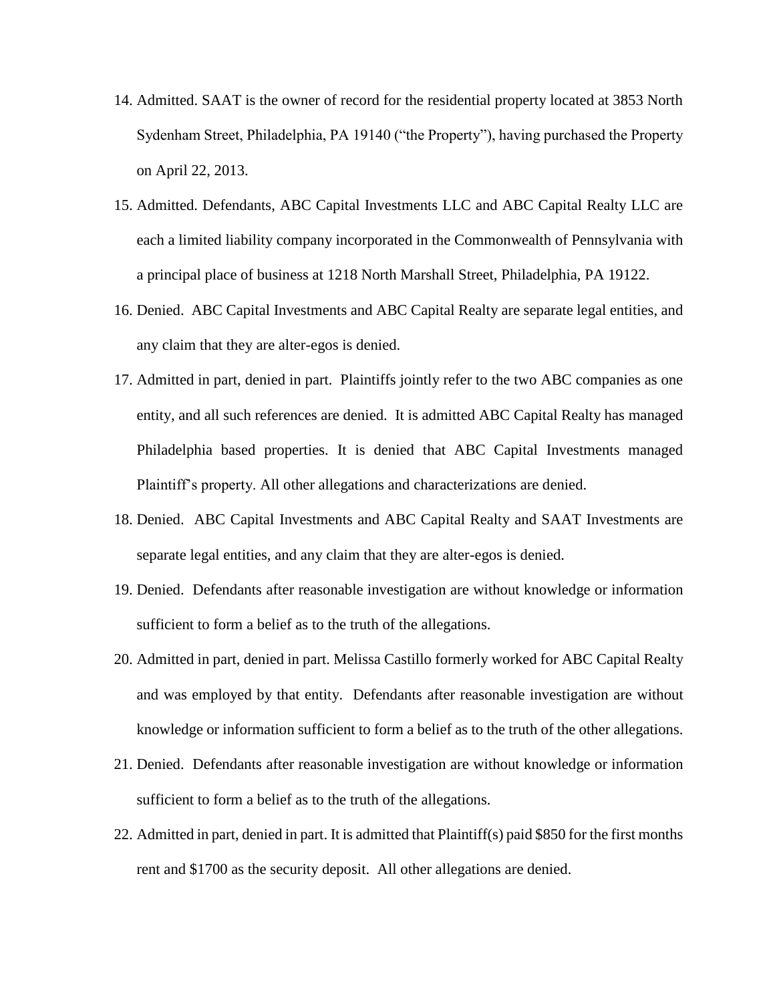- 14. Admitted. SAAT is the owner of record for the residential property located at 3853 North Sydenham Street, Philadelphia, PA 19140 ("the Property"), having purchased the Property on April 22, 2013.
- 15. Admitted. Defendants, ABC Capital Investments LLC and ABC Capital Realty LLC are each a limited liability company incorporated in the Commonwealth of Pennsylvania with a principal place of business at 1218 North Marshall Street, Philadelphia, PA 19122.
- 16. Denied. ABC Capital Investments and ABC Capital Realty are separate legal entities, and any claim that they are alter-egos is denied.
- 17. Admitted in part, denied in part. Plaintiffs jointly refer to the two ABC companies as one entity, and all such references are denied. It is admitted ABC Capital Realty has managed Philadelphia based properties. It is denied that ABC Capital Investments managed Plaintiff's property. All other allegations and characterizations are denied.
- 18. Denied. ABC Capital Investments and ABC Capital Realty and SAAT Investments are separate legal entities, and any claim that they are alter-egos is denied.
- 19. Denied. Defendants after reasonable investigation are without knowledge or information sufficient to form a belief as to the truth of the allegations.
- 20. Admitted in part, denied in part. Melissa Castillo formerly worked for ABC Capital Realty and was employed by that entity. Defendants after reasonable investigation are without knowledge or information sufficient to form a belief as to the truth of the other allegations.
- 21. Denied. Defendants after reasonable investigation are without knowledge or information sufficient to form a belief as to the truth of the allegations.
- 22. Admitted in part, denied in part. It is admitted that Plaintiff(s) paid \$850 for the first months rent and \$1700 as the security deposit. All other allegations are denied.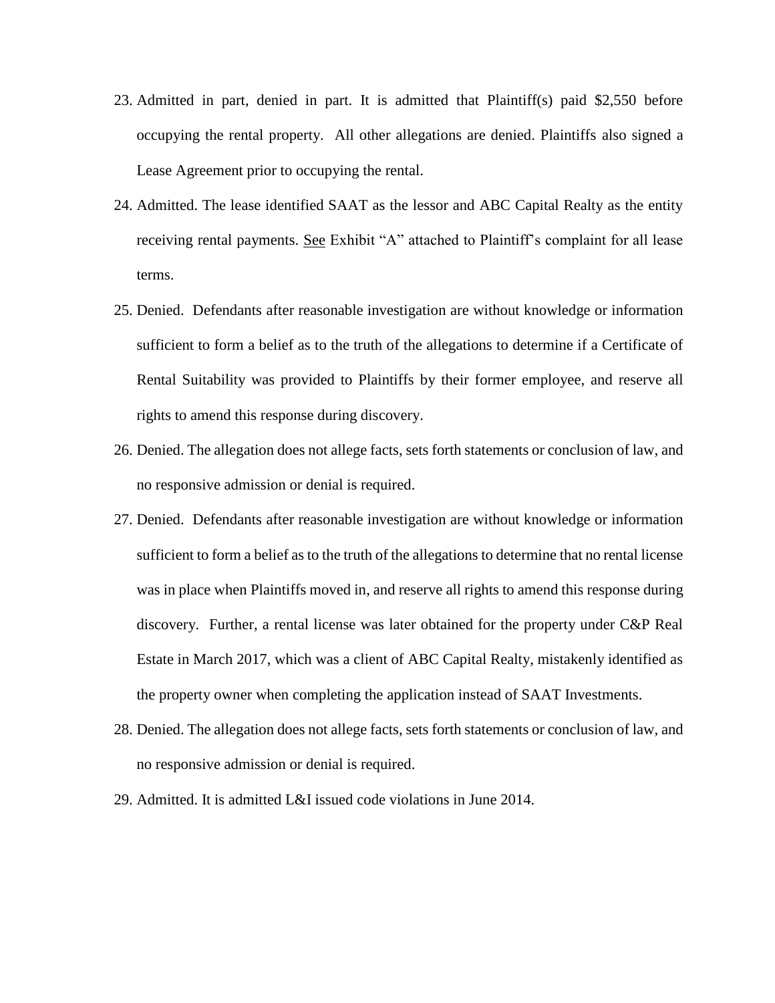- 23. Admitted in part, denied in part. It is admitted that Plaintiff(s) paid \$2,550 before occupying the rental property. All other allegations are denied. Plaintiffs also signed a Lease Agreement prior to occupying the rental.
- 24. Admitted. The lease identified SAAT as the lessor and ABC Capital Realty as the entity receiving rental payments. See Exhibit "A" attached to Plaintiff's complaint for all lease terms.
- 25. Denied. Defendants after reasonable investigation are without knowledge or information sufficient to form a belief as to the truth of the allegations to determine if a Certificate of Rental Suitability was provided to Plaintiffs by their former employee, and reserve all rights to amend this response during discovery.
- 26. Denied. The allegation does not allege facts, sets forth statements or conclusion of law, and no responsive admission or denial is required.
- 27. Denied. Defendants after reasonable investigation are without knowledge or information sufficient to form a belief as to the truth of the allegations to determine that no rental license was in place when Plaintiffs moved in, and reserve all rights to amend this response during discovery. Further, a rental license was later obtained for the property under C&P Real Estate in March 2017, which was a client of ABC Capital Realty, mistakenly identified as the property owner when completing the application instead of SAAT Investments.
- 28. Denied. The allegation does not allege facts, sets forth statements or conclusion of law, and no responsive admission or denial is required.
- 29. Admitted. It is admitted L&I issued code violations in June 2014.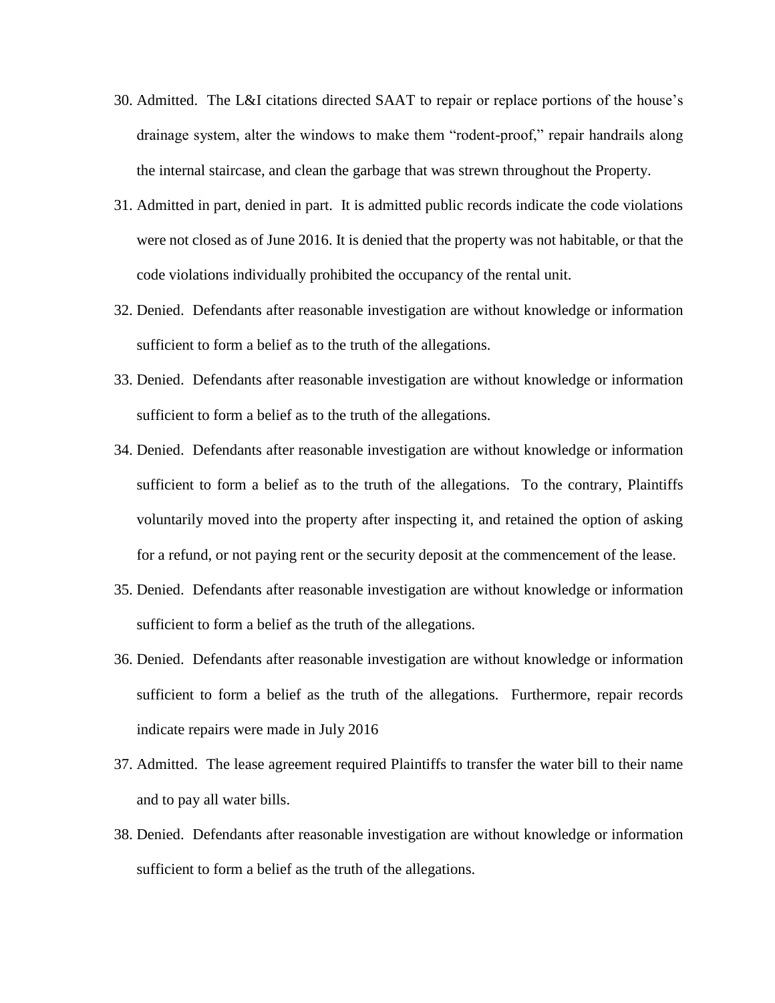- 30. Admitted. The L&I citations directed SAAT to repair or replace portions of the house's drainage system, alter the windows to make them "rodent-proof," repair handrails along the internal staircase, and clean the garbage that was strewn throughout the Property.
- 31. Admitted in part, denied in part. It is admitted public records indicate the code violations were not closed as of June 2016. It is denied that the property was not habitable, or that the code violations individually prohibited the occupancy of the rental unit.
- 32. Denied. Defendants after reasonable investigation are without knowledge or information sufficient to form a belief as to the truth of the allegations.
- 33. Denied. Defendants after reasonable investigation are without knowledge or information sufficient to form a belief as to the truth of the allegations.
- 34. Denied. Defendants after reasonable investigation are without knowledge or information sufficient to form a belief as to the truth of the allegations. To the contrary, Plaintiffs voluntarily moved into the property after inspecting it, and retained the option of asking for a refund, or not paying rent or the security deposit at the commencement of the lease.
- 35. Denied. Defendants after reasonable investigation are without knowledge or information sufficient to form a belief as the truth of the allegations.
- 36. Denied. Defendants after reasonable investigation are without knowledge or information sufficient to form a belief as the truth of the allegations. Furthermore, repair records indicate repairs were made in July 2016
- 37. Admitted. The lease agreement required Plaintiffs to transfer the water bill to their name and to pay all water bills.
- 38. Denied. Defendants after reasonable investigation are without knowledge or information sufficient to form a belief as the truth of the allegations.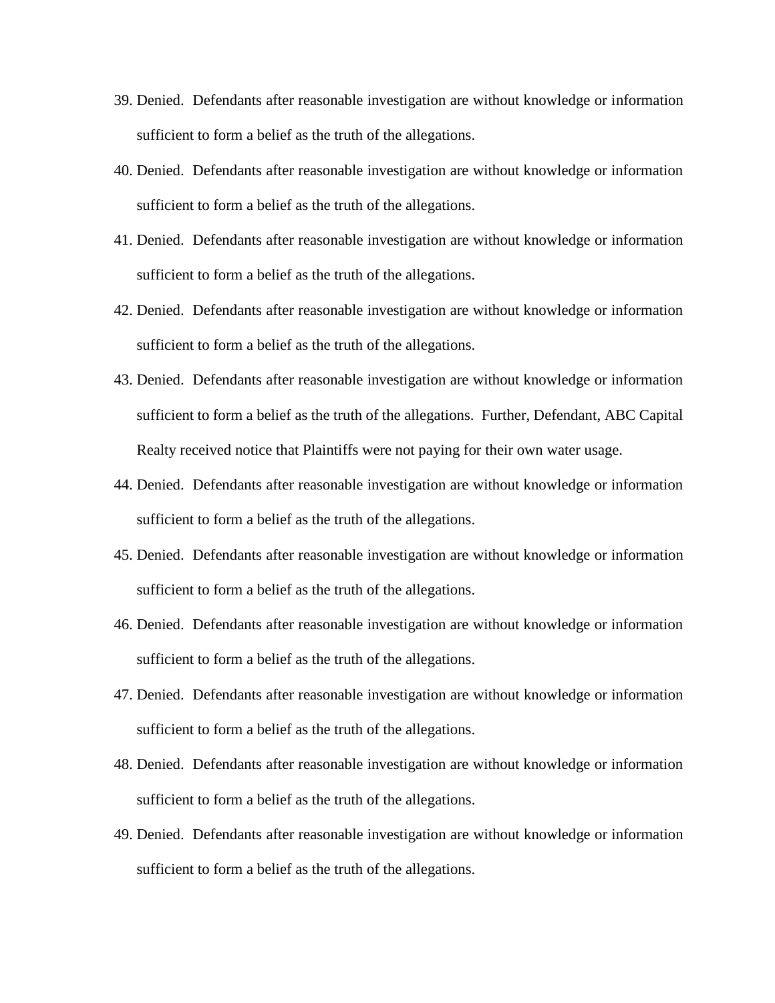- 39. Denied. Defendants after reasonable investigation are without knowledge or information sufficient to form a belief as the truth of the allegations.
- 40. Denied. Defendants after reasonable investigation are without knowledge or information sufficient to form a belief as the truth of the allegations.
- 41. Denied. Defendants after reasonable investigation are without knowledge or information sufficient to form a belief as the truth of the allegations.
- 42. Denied. Defendants after reasonable investigation are without knowledge or information sufficient to form a belief as the truth of the allegations.
- 43. Denied. Defendants after reasonable investigation are without knowledge or information sufficient to form a belief as the truth of the allegations. Further, Defendant, ABC Capital Realty received notice that Plaintiffs were not paying for their own water usage.
- 44. Denied. Defendants after reasonable investigation are without knowledge or information sufficient to form a belief as the truth of the allegations.
- 45. Denied. Defendants after reasonable investigation are without knowledge or information sufficient to form a belief as the truth of the allegations.
- 46. Denied. Defendants after reasonable investigation are without knowledge or information sufficient to form a belief as the truth of the allegations.
- 47. Denied. Defendants after reasonable investigation are without knowledge or information sufficient to form a belief as the truth of the allegations.
- 48. Denied. Defendants after reasonable investigation are without knowledge or information sufficient to form a belief as the truth of the allegations.
- 49. Denied. Defendants after reasonable investigation are without knowledge or information sufficient to form a belief as the truth of the allegations.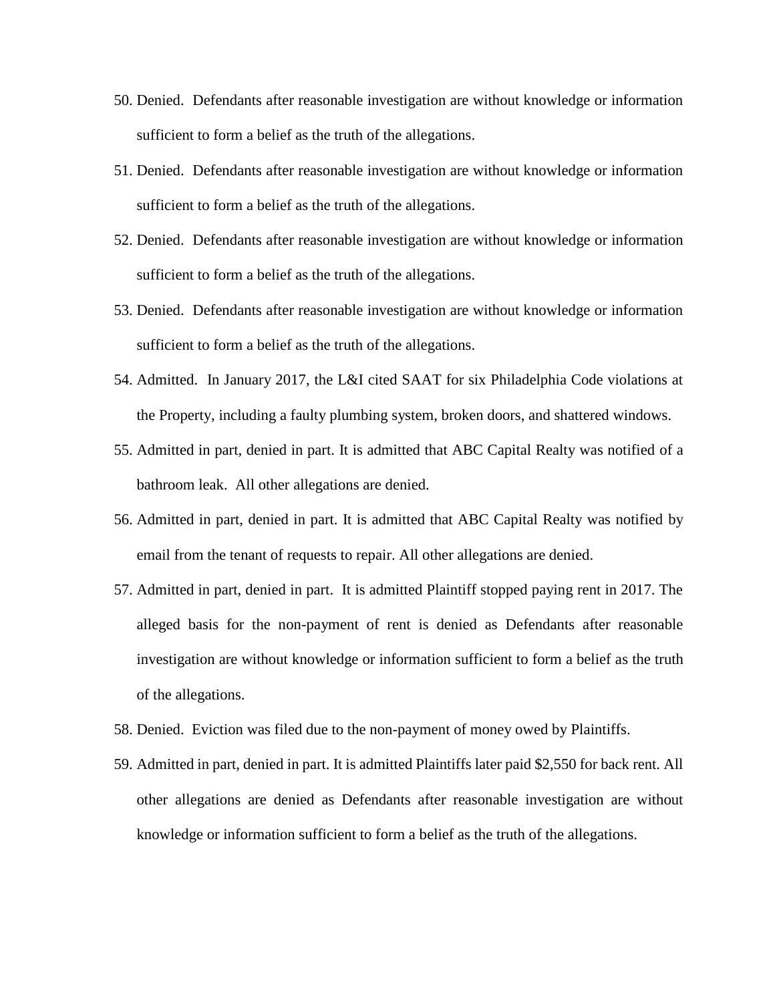- 50. Denied. Defendants after reasonable investigation are without knowledge or information sufficient to form a belief as the truth of the allegations.
- 51. Denied. Defendants after reasonable investigation are without knowledge or information sufficient to form a belief as the truth of the allegations.
- 52. Denied. Defendants after reasonable investigation are without knowledge or information sufficient to form a belief as the truth of the allegations.
- 53. Denied. Defendants after reasonable investigation are without knowledge or information sufficient to form a belief as the truth of the allegations.
- 54. Admitted. In January 2017, the L&I cited SAAT for six Philadelphia Code violations at the Property, including a faulty plumbing system, broken doors, and shattered windows.
- 55. Admitted in part, denied in part. It is admitted that ABC Capital Realty was notified of a bathroom leak. All other allegations are denied.
- 56. Admitted in part, denied in part. It is admitted that ABC Capital Realty was notified by email from the tenant of requests to repair. All other allegations are denied.
- 57. Admitted in part, denied in part. It is admitted Plaintiff stopped paying rent in 2017. The alleged basis for the non-payment of rent is denied as Defendants after reasonable investigation are without knowledge or information sufficient to form a belief as the truth of the allegations.
- 58. Denied. Eviction was filed due to the non-payment of money owed by Plaintiffs.
- 59. Admitted in part, denied in part. It is admitted Plaintiffs later paid \$2,550 for back rent. All other allegations are denied as Defendants after reasonable investigation are without knowledge or information sufficient to form a belief as the truth of the allegations.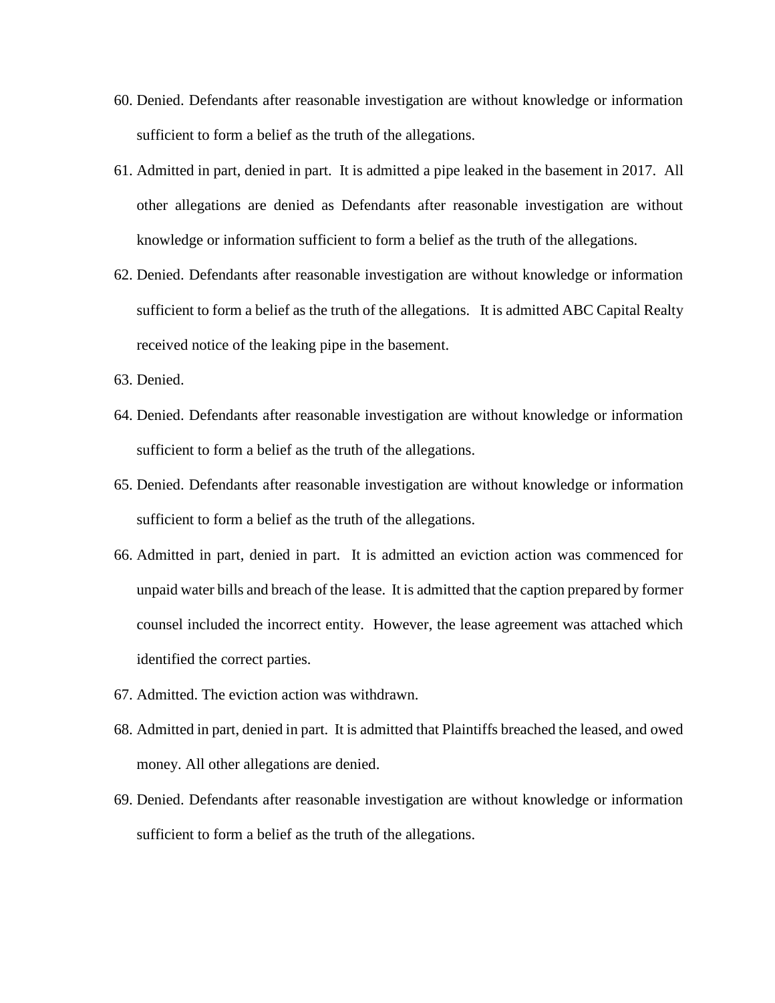- 60. Denied. Defendants after reasonable investigation are without knowledge or information sufficient to form a belief as the truth of the allegations.
- 61. Admitted in part, denied in part. It is admitted a pipe leaked in the basement in 2017. All other allegations are denied as Defendants after reasonable investigation are without knowledge or information sufficient to form a belief as the truth of the allegations.
- 62. Denied. Defendants after reasonable investigation are without knowledge or information sufficient to form a belief as the truth of the allegations. It is admitted ABC Capital Realty received notice of the leaking pipe in the basement.
- 63. Denied.
- 64. Denied. Defendants after reasonable investigation are without knowledge or information sufficient to form a belief as the truth of the allegations.
- 65. Denied. Defendants after reasonable investigation are without knowledge or information sufficient to form a belief as the truth of the allegations.
- 66. Admitted in part, denied in part. It is admitted an eviction action was commenced for unpaid water bills and breach of the lease. It is admitted that the caption prepared by former counsel included the incorrect entity. However, the lease agreement was attached which identified the correct parties.
- 67. Admitted. The eviction action was withdrawn.
- 68. Admitted in part, denied in part. It is admitted that Plaintiffs breached the leased, and owed money. All other allegations are denied.
- 69. Denied. Defendants after reasonable investigation are without knowledge or information sufficient to form a belief as the truth of the allegations.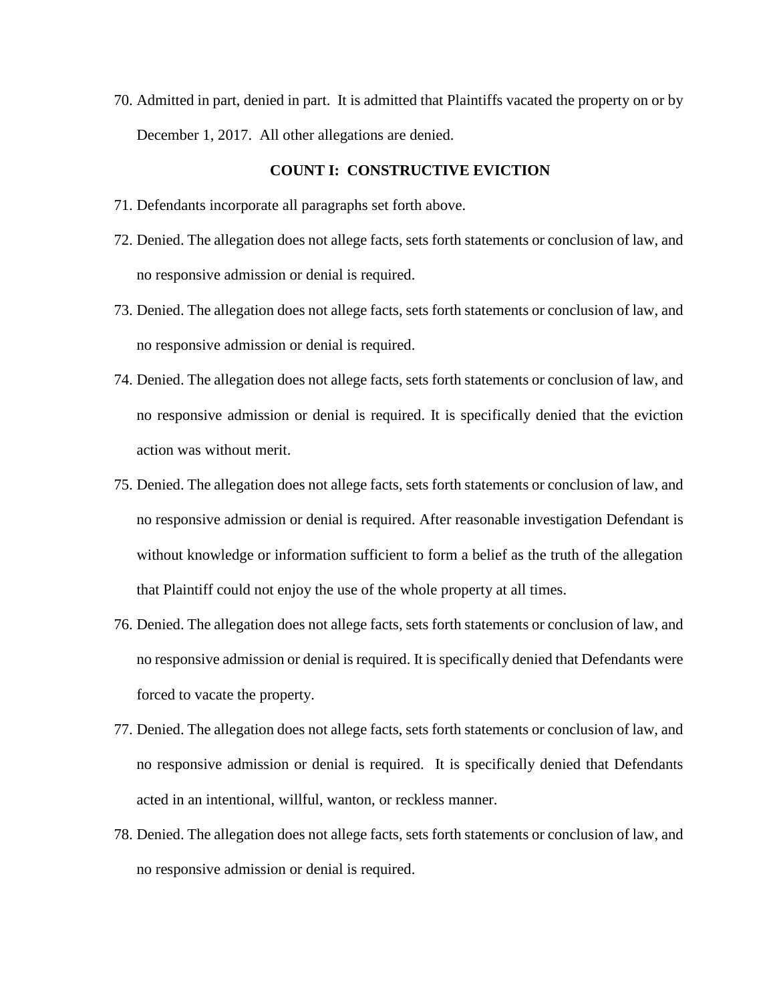70. Admitted in part, denied in part. It is admitted that Plaintiffs vacated the property on or by December 1, 2017. All other allegations are denied.

## **COUNT I: CONSTRUCTIVE EVICTION**

- 71. Defendants incorporate all paragraphs set forth above.
- 72. Denied. The allegation does not allege facts, sets forth statements or conclusion of law, and no responsive admission or denial is required.
- 73. Denied. The allegation does not allege facts, sets forth statements or conclusion of law, and no responsive admission or denial is required.
- 74. Denied. The allegation does not allege facts, sets forth statements or conclusion of law, and no responsive admission or denial is required. It is specifically denied that the eviction action was without merit.
- 75. Denied. The allegation does not allege facts, sets forth statements or conclusion of law, and no responsive admission or denial is required. After reasonable investigation Defendant is without knowledge or information sufficient to form a belief as the truth of the allegation that Plaintiff could not enjoy the use of the whole property at all times.
- 76. Denied. The allegation does not allege facts, sets forth statements or conclusion of law, and no responsive admission or denial is required. It is specifically denied that Defendants were forced to vacate the property.
- 77. Denied. The allegation does not allege facts, sets forth statements or conclusion of law, and no responsive admission or denial is required. It is specifically denied that Defendants acted in an intentional, willful, wanton, or reckless manner.
- 78. Denied. The allegation does not allege facts, sets forth statements or conclusion of law, and no responsive admission or denial is required.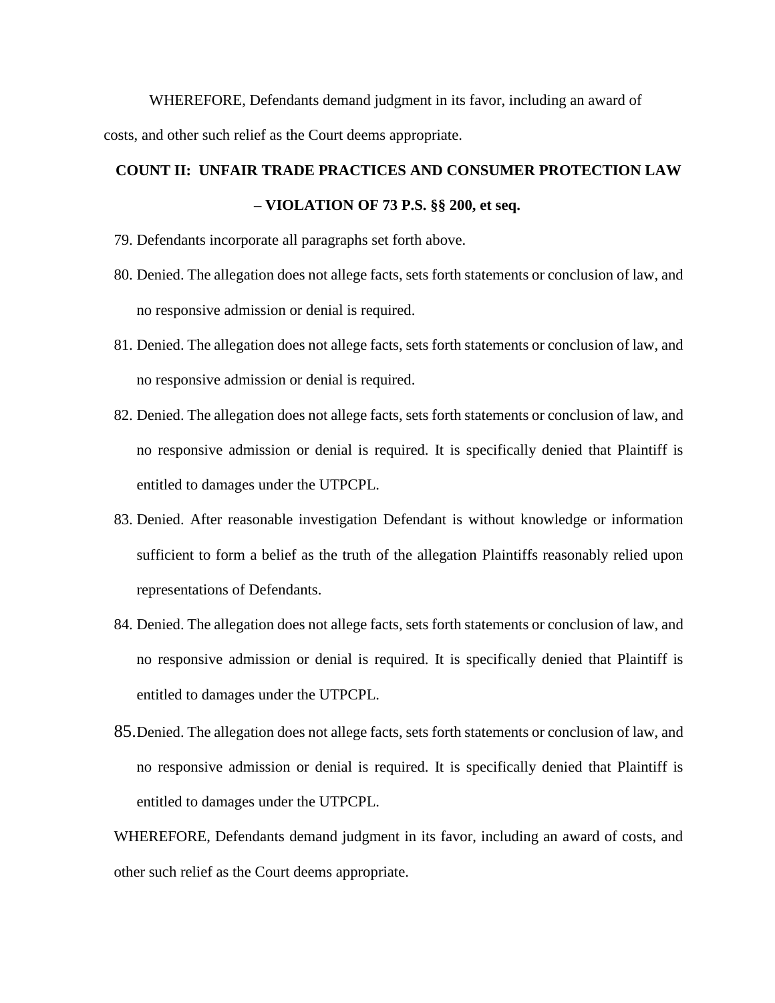WHEREFORE, Defendants demand judgment in its favor, including an award of costs, and other such relief as the Court deems appropriate.

# **COUNT II: UNFAIR TRADE PRACTICES AND CONSUMER PROTECTION LAW – VIOLATION OF 73 P.S. §§ 200, et seq.**

- 79. Defendants incorporate all paragraphs set forth above.
- 80. Denied. The allegation does not allege facts, sets forth statements or conclusion of law, and no responsive admission or denial is required.
- 81. Denied. The allegation does not allege facts, sets forth statements or conclusion of law, and no responsive admission or denial is required.
- 82. Denied. The allegation does not allege facts, sets forth statements or conclusion of law, and no responsive admission or denial is required. It is specifically denied that Plaintiff is entitled to damages under the UTPCPL.
- 83. Denied. After reasonable investigation Defendant is without knowledge or information sufficient to form a belief as the truth of the allegation Plaintiffs reasonably relied upon representations of Defendants.
- 84. Denied. The allegation does not allege facts, sets forth statements or conclusion of law, and no responsive admission or denial is required. It is specifically denied that Plaintiff is entitled to damages under the UTPCPL.
- 85.Denied. The allegation does not allege facts, sets forth statements or conclusion of law, and no responsive admission or denial is required. It is specifically denied that Plaintiff is entitled to damages under the UTPCPL.

WHEREFORE, Defendants demand judgment in its favor, including an award of costs, and other such relief as the Court deems appropriate.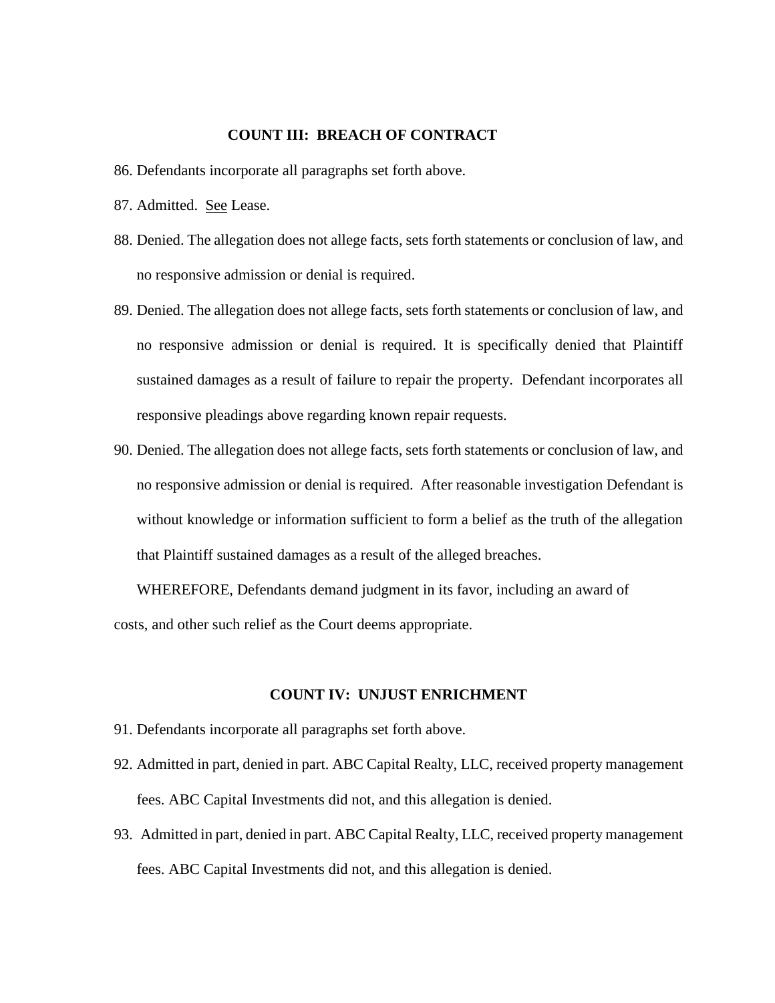## **COUNT III: BREACH OF CONTRACT**

- 86. Defendants incorporate all paragraphs set forth above.
- 87. Admitted. See Lease.
- 88. Denied. The allegation does not allege facts, sets forth statements or conclusion of law, and no responsive admission or denial is required.
- 89. Denied. The allegation does not allege facts, sets forth statements or conclusion of law, and no responsive admission or denial is required. It is specifically denied that Plaintiff sustained damages as a result of failure to repair the property. Defendant incorporates all responsive pleadings above regarding known repair requests.
- 90. Denied. The allegation does not allege facts, sets forth statements or conclusion of law, and no responsive admission or denial is required. After reasonable investigation Defendant is without knowledge or information sufficient to form a belief as the truth of the allegation that Plaintiff sustained damages as a result of the alleged breaches.

WHEREFORE, Defendants demand judgment in its favor, including an award of costs, and other such relief as the Court deems appropriate.

#### **COUNT IV: UNJUST ENRICHMENT**

- 91. Defendants incorporate all paragraphs set forth above.
- 92. Admitted in part, denied in part. ABC Capital Realty, LLC, received property management fees. ABC Capital Investments did not, and this allegation is denied.
- 93. Admitted in part, denied in part. ABC Capital Realty, LLC, received property management fees. ABC Capital Investments did not, and this allegation is denied.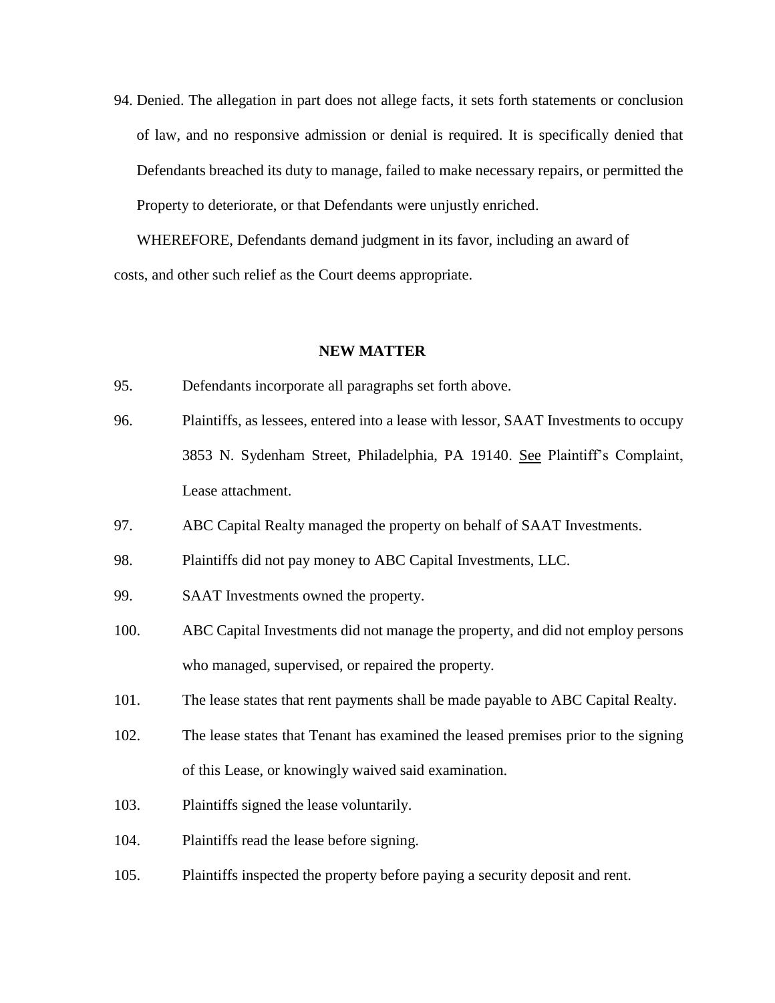94. Denied. The allegation in part does not allege facts, it sets forth statements or conclusion of law, and no responsive admission or denial is required. It is specifically denied that Defendants breached its duty to manage, failed to make necessary repairs, or permitted the Property to deteriorate, or that Defendants were unjustly enriched.

WHEREFORE, Defendants demand judgment in its favor, including an award of costs, and other such relief as the Court deems appropriate.

#### **NEW MATTER**

- 95. Defendants incorporate all paragraphs set forth above.
- 96. Plaintiffs, as lessees, entered into a lease with lessor, SAAT Investments to occupy 3853 N. Sydenham Street, Philadelphia, PA 19140. See Plaintiff's Complaint, Lease attachment.
- 97. ABC Capital Realty managed the property on behalf of SAAT Investments.

98. Plaintiffs did not pay money to ABC Capital Investments, LLC.

- 99. SAAT Investments owned the property.
- 100. ABC Capital Investments did not manage the property, and did not employ persons who managed, supervised, or repaired the property.
- 101. The lease states that rent payments shall be made payable to ABC Capital Realty.
- 102. The lease states that Tenant has examined the leased premises prior to the signing of this Lease, or knowingly waived said examination.
- 103. Plaintiffs signed the lease voluntarily.
- 104. Plaintiffs read the lease before signing.
- 105. Plaintiffs inspected the property before paying a security deposit and rent.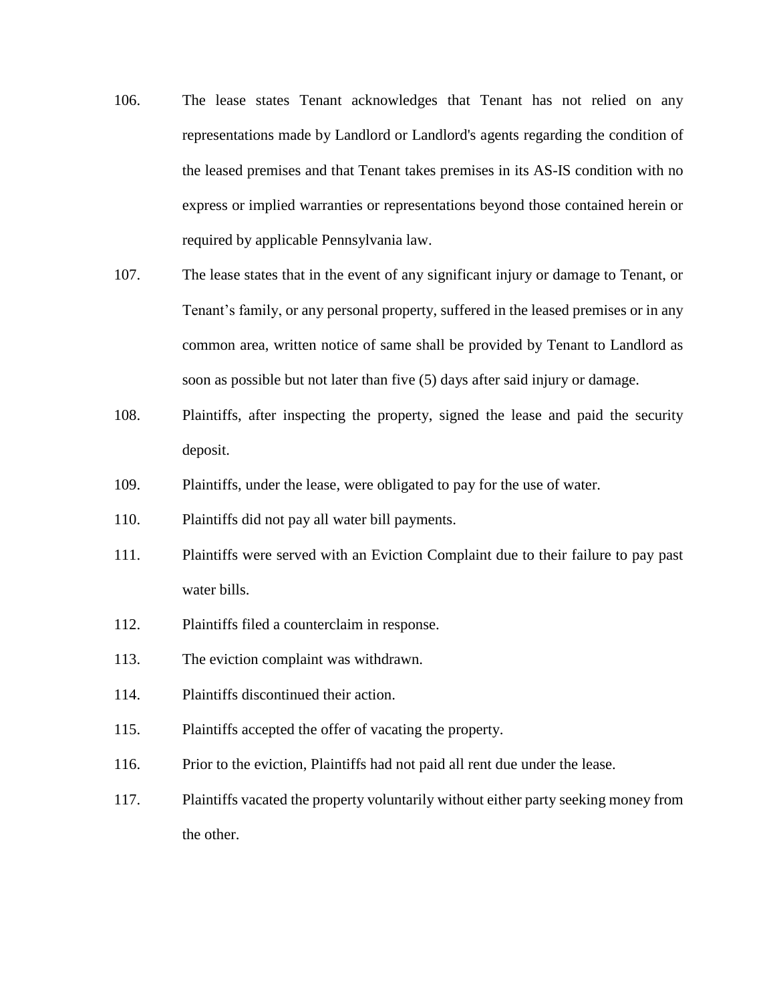- 106. The lease states Tenant acknowledges that Tenant has not relied on any representations made by Landlord or Landlord's agents regarding the condition of the leased premises and that Tenant takes premises in its AS-IS condition with no express or implied warranties or representations beyond those contained herein or required by applicable Pennsylvania law.
- 107. The lease states that in the event of any significant injury or damage to Tenant, or Tenant's family, or any personal property, suffered in the leased premises or in any common area, written notice of same shall be provided by Tenant to Landlord as soon as possible but not later than five (5) days after said injury or damage.
- 108. Plaintiffs, after inspecting the property, signed the lease and paid the security deposit.
- 109. Plaintiffs, under the lease, were obligated to pay for the use of water.
- 110. Plaintiffs did not pay all water bill payments.
- 111. Plaintiffs were served with an Eviction Complaint due to their failure to pay past water bills.
- 112. Plaintiffs filed a counterclaim in response.
- 113. The eviction complaint was withdrawn.
- 114. Plaintiffs discontinued their action.
- 115. Plaintiffs accepted the offer of vacating the property.
- 116. Prior to the eviction, Plaintiffs had not paid all rent due under the lease.
- 117. Plaintiffs vacated the property voluntarily without either party seeking money from the other.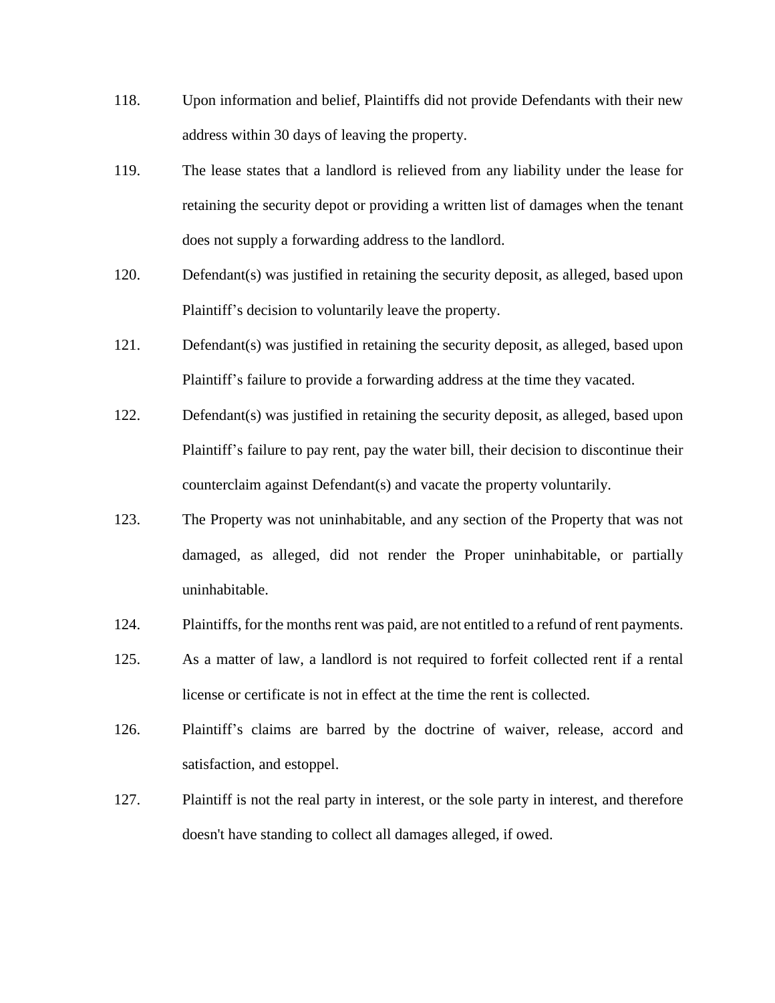- 118. Upon information and belief, Plaintiffs did not provide Defendants with their new address within 30 days of leaving the property.
- 119. The lease states that a landlord is relieved from any liability under the lease for retaining the security depot or providing a written list of damages when the tenant does not supply a forwarding address to the landlord.
- 120. Defendant(s) was justified in retaining the security deposit, as alleged, based upon Plaintiff's decision to voluntarily leave the property.
- 121. Defendant(s) was justified in retaining the security deposit, as alleged, based upon Plaintiff's failure to provide a forwarding address at the time they vacated.
- 122. Defendant(s) was justified in retaining the security deposit, as alleged, based upon Plaintiff's failure to pay rent, pay the water bill, their decision to discontinue their counterclaim against Defendant(s) and vacate the property voluntarily.
- 123. The Property was not uninhabitable, and any section of the Property that was not damaged, as alleged, did not render the Proper uninhabitable, or partially uninhabitable.
- 124. Plaintiffs, for the months rent was paid, are not entitled to a refund of rent payments.
- 125. As a matter of law, a landlord is not required to forfeit collected rent if a rental license or certificate is not in effect at the time the rent is collected.
- 126. Plaintiff's claims are barred by the doctrine of waiver, release, accord and satisfaction, and estoppel.
- 127. Plaintiff is not the real party in interest, or the sole party in interest, and therefore doesn't have standing to collect all damages alleged, if owed.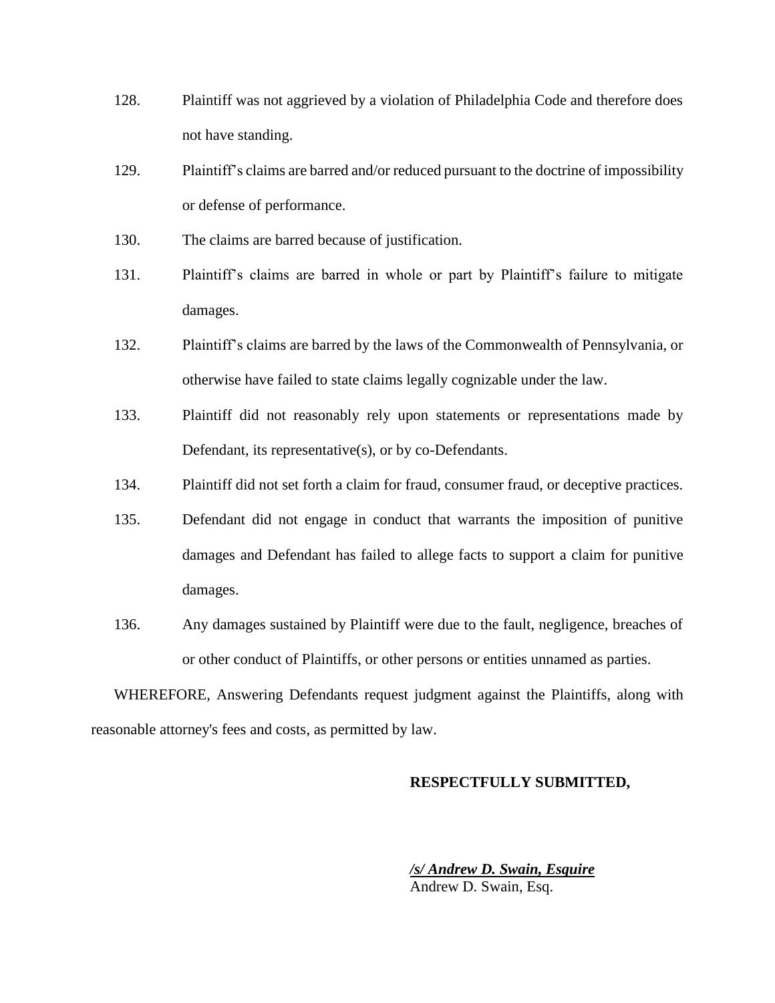- 128. Plaintiff was not aggrieved by a violation of Philadelphia Code and therefore does not have standing.
- 129. Plaintiff's claims are barred and/or reduced pursuant to the doctrine of impossibility or defense of performance.
- 130. The claims are barred because of justification.
- 131. Plaintiff's claims are barred in whole or part by Plaintiff's failure to mitigate damages.
- 132. Plaintiff's claims are barred by the laws of the Commonwealth of Pennsylvania, or otherwise have failed to state claims legally cognizable under the law.
- 133. Plaintiff did not reasonably rely upon statements or representations made by Defendant, its representative(s), or by co-Defendants.
- 134. Plaintiff did not set forth a claim for fraud, consumer fraud, or deceptive practices.
- 135. Defendant did not engage in conduct that warrants the imposition of punitive damages and Defendant has failed to allege facts to support a claim for punitive damages.
- 136. Any damages sustained by Plaintiff were due to the fault, negligence, breaches of or other conduct of Plaintiffs, or other persons or entities unnamed as parties.

WHEREFORE, Answering Defendants request judgment against the Plaintiffs, along with reasonable attorney's fees and costs, as permitted by law.

## **RESPECTFULLY SUBMITTED,**

*/s/ Andrew D. Swain, Esquire* Andrew D. Swain, Esq.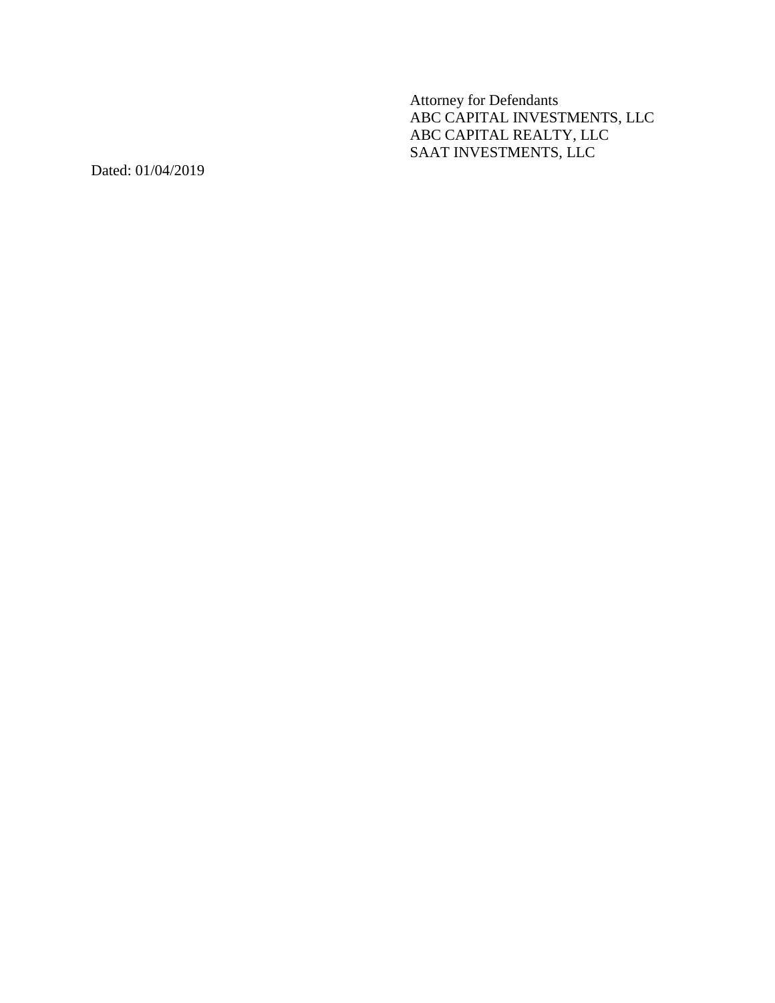Attorney for Defendant s ABC CAPITAL INVESTMENTS, LLC ABC CAPITAL REALTY, LLC SAAT INVESTMENTS, LLC

Dated: 01/04/201 9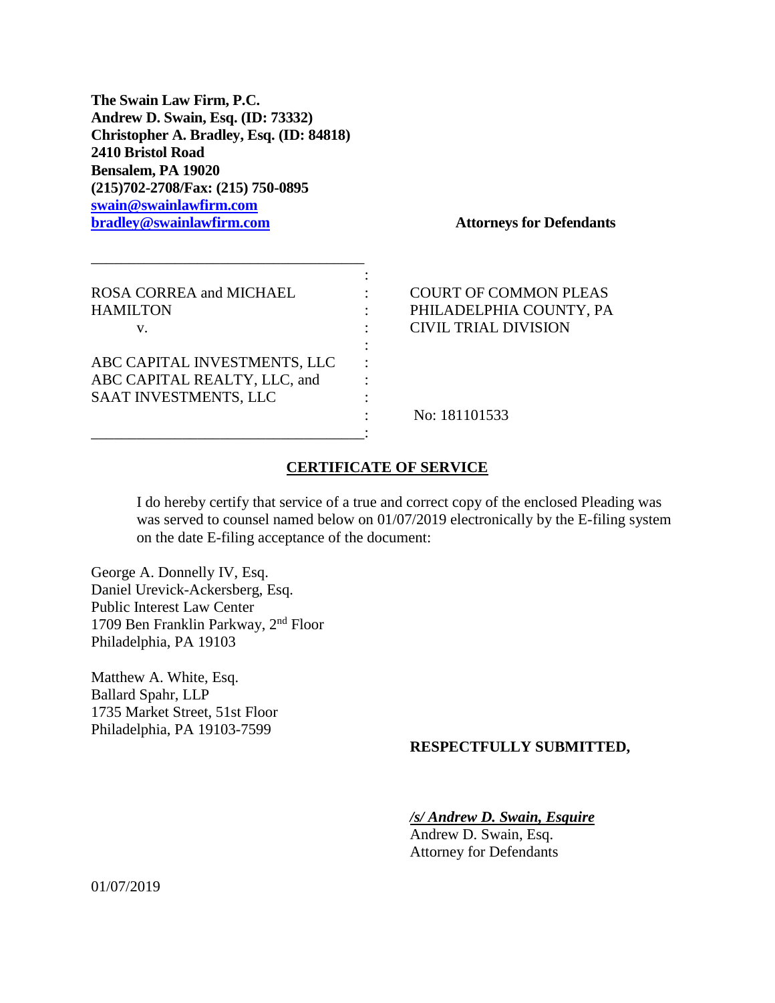**The Swain Law Firm, P.C. Andrew D. Swain, Esq. (ID: 73332) Christopher A. Bradley, Esq. (ID: 84818) 2410 Bristol Road Bensalem, PA 19020 (215)702-2708/Fax: (215) 750-0895 [swain@swainlawfirm.com](mailto:swain@swainlawfirm.com) [bradley@swainlawfirm.com](mailto:bradley@swainlawfirm.com) Attorneys for Defendants**

| ROSA CORREA and MICHAEL<br><b>HAMILTON</b> |  |
|--------------------------------------------|--|
| V.                                         |  |
|                                            |  |
| ABC CAPITAL INVESTMENTS, LLC               |  |
| ABC CAPITAL REALTY, LLC, and               |  |
| SAAT INVESTMENTS, LLC                      |  |
|                                            |  |

\_\_\_\_\_\_\_\_\_\_\_\_\_\_\_\_\_\_\_\_\_\_\_\_\_\_\_\_\_\_\_\_\_\_\_\_:

COURT OF COMMON PLEAS PHILADELPHIA COUNTY, PA CIVIL TRIAL DIVISION

No: 181101533

# **CERTIFICATE OF SERVICE**

I do hereby certify that service of a true and correct copy of the enclosed Pleading was was served to counsel named below on 01/07/2019 electronically by the E-filing system on the date E-filing acceptance of the document:

George A. Donnelly IV, Esq. Daniel Urevick-Ackersberg, Esq. Public Interest Law Center 1709 Ben Franklin Parkway, 2nd Floor Philadelphia, PA 19103

Matthew A. White, Esq. Ballard Spahr, LLP 1735 Market Street, 51st Floor Philadelphia, PA 19103-7599

# **RESPECTFULLY SUBMITTED,**

*/s/ Andrew D. Swain, Esquire*

Andrew D. Swain, Esq. Attorney for Defendants

01/07/2019